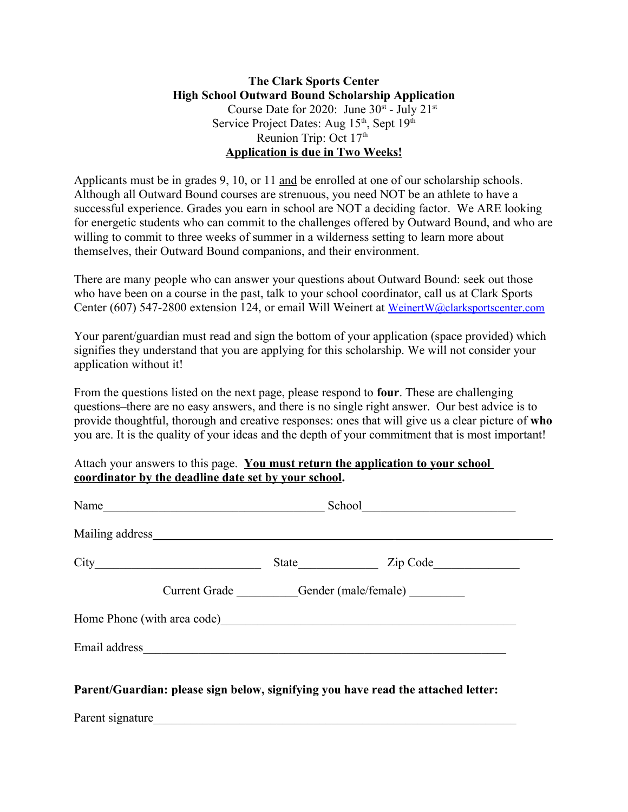## **The Clark Sports Center High School Outward Bound Scholarship Application** Course Date for 2020: June  $30^{st}$  - July  $21^{st}$ Service Project Dates: Aug 15<sup>th</sup>, Sept 19<sup>th</sup> Reunion Trip: Oct 17<sup>th</sup> **Application is due in Two Weeks!**

Applicants must be in grades 9, 10, or 11 and be enrolled at one of our scholarship schools. Although all Outward Bound courses are strenuous, you need NOT be an athlete to have a successful experience. Grades you earn in school are NOT a deciding factor. We ARE looking for energetic students who can commit to the challenges offered by Outward Bound, and who are willing to commit to three weeks of summer in a wilderness setting to learn more about themselves, their Outward Bound companions, and their environment.

There are many people who can answer your questions about Outward Bound: seek out those who have been on a course in the past, talk to your school coordinator, call us at Clark Sports Center (607) 547-2800 extension 124, or email Will Weinert at [WeinertW@clarksportscenter.com](mailto:WeinertW@clarksportscenter.com)

Your parent/guardian must read and sign the bottom of your application (space provided) which signifies they understand that you are applying for this scholarship. We will not consider your application without it!

From the questions listed on the next page, please respond to **four**. These are challenging questions–there are no easy answers, and there is no single right answer. Our best advice is to provide thoughtful, thorough and creative responses: ones that will give us a clear picture of **who** you are. It is the quality of your ideas and the depth of your commitment that is most important!

Attach your answers to this page. **You must return the application to your school coordinator by the deadline date set by your school.**

| Name                                                   |  |                                                                                   |
|--------------------------------------------------------|--|-----------------------------------------------------------------------------------|
|                                                        |  |                                                                                   |
|                                                        |  |                                                                                   |
| Current Grade __________Gender (male/female) _________ |  |                                                                                   |
|                                                        |  |                                                                                   |
|                                                        |  |                                                                                   |
|                                                        |  | Parent/Guardian: please sign below, signifying you have read the attached letter: |
| Parent signature                                       |  |                                                                                   |